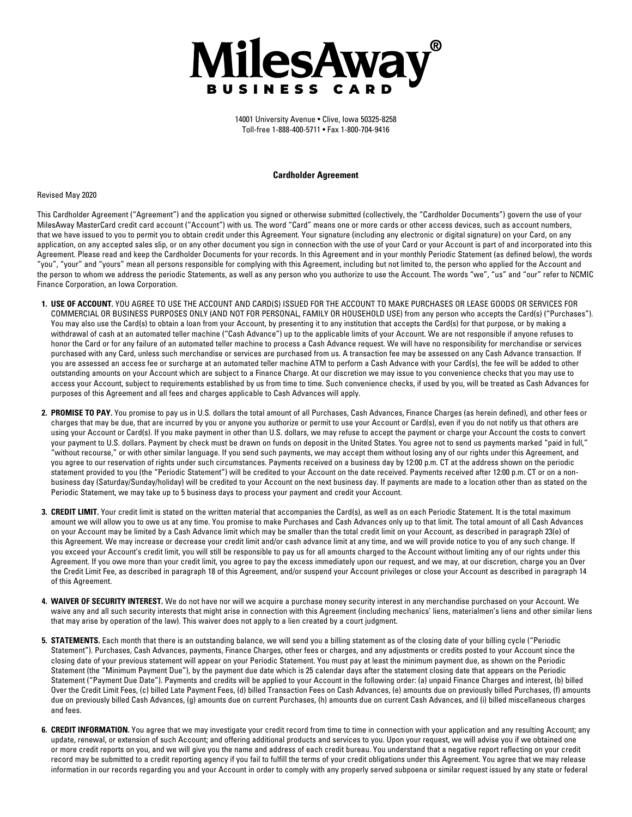

14001 University Avenue • Clive, Iowa 50325-8258 Toll-free 1-888-400-5711 • Fax 1-800-704-9416

#### **Cardholder Agreement**

#### Revised May 2020

This Cardholder Agreement ("Agreement") and the application you signed or otherwise submitted (collectively, the "Cardholder Documents") govern the use of your MilesAway MasterCard credit card account ("Account") with us. The word "Card" means one or more cards or other access devices, such as account numbers, that we have issued to you to permit you to obtain credit under this Agreement. Your signature (including any electronic or digital signature) on your Card, on any application, on any accepted sales slip, or on any other document you sign in connection with the use of your Card or your Account is part of and incorporated into this Agreement. Please read and keep the Cardholder Documents for your records. In this Agreement and in your monthly Periodic Statement (as defned below), the words "you", "your" and "yours" mean all persons responsible for complying with this Agreement, including but not limited to, the person who applied for the Account and the person to whom we address the periodic Statements, as well as any person who you authorize to use the Account. The words "we", "us" and "our" refer to NCMIC Finance Corporation, an Iowa Corporation.

- **1. USE OF ACCOUNT.** YOU AGREE TO USE THE ACCOUNT AND CARD(S) ISSUED FOR THE ACCOUNT TO MAKE PURCHASES OR LEASE GOODS OR SERVICES FOR COMMERCIAL OR BUSINESS PURPOSES ONLY (AND NOT FOR PERSONAL, FAMILY OR HOUSEHOLD USE) from any person who accepts the Card(s) ("Purchases"). You may also use the Card(s) to obtain a loan from your Account, by presenting it to any institution that accepts the Card(s) for that purpose, or by making a withdrawal of cash at an automated teller machine ("Cash Advance") up to the applicable limits of your Account. We are not responsible if anyone refuses to honor the Card or for any failure of an automated teller machine to process a Cash Advance request. We will have no responsibility for merchandise or services purchased with any Card, unless such merchandise or services are purchased from us. A transaction fee may be assessed on any Cash Advance transaction. If you are assessed an access fee or surcharge at an automated teller machine ATM to perform a Cash Advance with your Card(s), the fee will be added to other outstanding amounts on your Account which are subject to a Finance Charge. At our discretion we may issue to you convenience checks that you may use to access your Account, subject to requirements established by us from time to time. Such convenience checks, if used by you, will be treated as Cash Advances for purposes of this Agreement and all fees and charges applicable to Cash Advances will apply.
- 2. PROMISE TO PAY. You promise to pay us in U.S. dollars the total amount of all Purchases, Cash Advances, Finance Charges (as herein defined), and other fees or charges that may be due, that are incurred by you or anyone you authorize or permit to use your Account or Card(s), even if you do not notify us that others are using your Account or Card(s). If you make payment in other than U.S. dollars, we may refuse to accept the payment or charge your Account the costs to convert your payment to U.S. dollars. Payment by check must be drawn on funds on deposit in the United States. You agree not to send us payments marked "paid in full," "without recourse," or with other similar language. If you send such payments, we may accept them without losing any of our rights under this Agreement, and you agree to our reservation of rights under such circumstances. Payments received on a business day by 12:00 p.m. CT at the address shown on the periodic statement provided to you (the "Periodic Statement") will be credited to your Account on the date received. Payments received after 12:00 p.m. CT or on a nonbusiness day (Saturday/Sunday/holiday) will be credited to your Account on the next business day. If payments are made to a location other than as stated on the Periodic Statement, we may take up to 5 business days to process your payment and credit your Account.
- **3. CREDIT LIMIT.** Your credit limit is stated on the written material that accompanies the Card(s), as well as on each Periodic Statement. It is the total maximum amount we will allow you to owe us at any time. You promise to make Purchases and Cash Advances only up to that limit. The total amount of all Cash Advances on your Account may be limited by a Cash Advance limit which may be smaller than the total credit limit on your Account, as described in paragraph 23(e) of this Agreement. We may increase or decrease your credit limit and/or cash advance limit at any time, and we will provide notice to you of any such change. If you exceed your Account's credit limit, you will still be responsible to pay us for all amounts charged to the Account without limiting any of our rights under this Agreement. If you owe more than your credit limit, you agree to pay the excess immediately upon our request, and we may, at our discretion, charge you an Over the Credit Limit Fee, as described in paragraph 18 of this Agreement, and/or suspend your Account privileges or close your Account as described in paragraph 14 of this Agreement.
- **4. WAIVER OF SECURITY INTEREST.** We do not have nor will we acquire a purchase money security interest in any merchandise purchased on your Account. We waive any and all such security interests that might arise in connection with this Agreement (including mechanics' liens, materialmen's liens and other similar liens that may arise by operation of the law). This waiver does not apply to a lien created by a court judgment.
- **5. STATEMENTS.** Each month that there is an outstanding balance, we will send you a billing statement as of the closing date of your billing cycle ("Periodic Statement"). Purchases, Cash Advances, payments, Finance Charges, other fees or charges, and any adjustments or credits posted to your Account since the closing date of your previous statement will appear on your Periodic Statement. You must pay at least the minimum payment due, as shown on the Periodic Statement (the "Minimum Payment Due"), by the payment due date which is 25 calendar days after the statement closing date that appears on the Periodic Statement ("Payment Due Date"). Payments and credits will be applied to your Account in the following order: (a) unpaid Finance Charges and interest, (b) billed Over the Credit Limit Fees, (c) billed Late Payment Fees, (d) billed Transaction Fees on Cash Advances, (e) amounts due on previously billed Purchases, (f) amounts due on previously billed Cash Advances, (g) amounts due on current Purchases, (h) amounts due on current Cash Advances, and (i) billed miscellaneous charges and fees.
- 6. CREDIT INFORMATION. You agree that we may investigate your credit record from time to time in connection with your application and any resulting Account; any update, renewal, or extension of such Account; and offering additional products and services to you. Upon your request, we will advise you if we obtained one or more credit reports on you, and we will give you the name and address of each credit bureau. You understand that a negative report refecting on your credit record may be submitted to a credit reporting agency if you fail to fulfll the terms of your credit obligations under this Agreement. You agree that we may release information in our records regarding you and your Account in order to comply with any properly served subpoena or similar request issued by any state or federal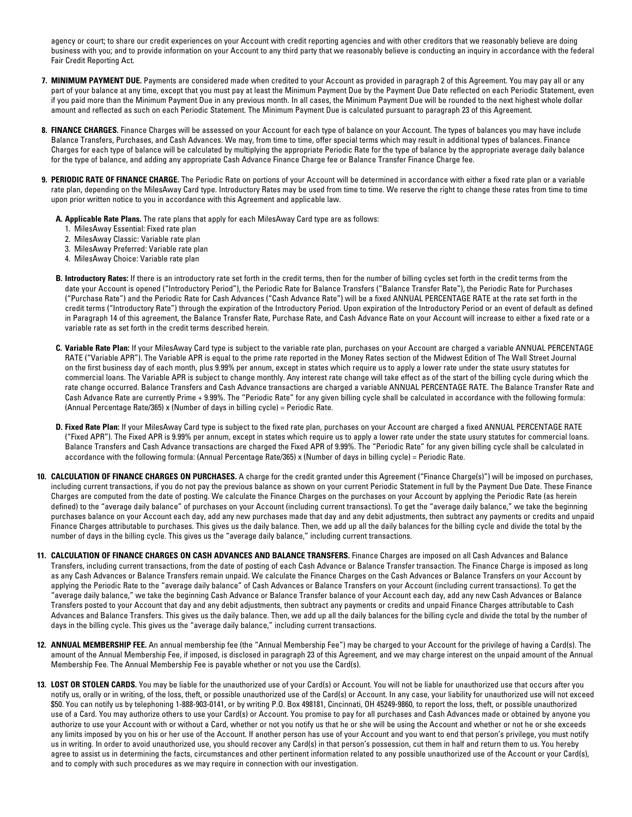agency or court; to share our credit experiences on your Account with credit reporting agencies and with other creditors that we reasonably believe are doing business with you; and to provide information on your Account to any third party that we reasonably believe is conducting an inquiry in accordance with the federal Fair Credit Reporting Act.

- **7. MINIMUM PAYMENT DUE.** Payments are considered made when credited to your Account as provided in paragraph 2 of this Agreement. You may pay all or any part of your balance at any time, except that you must pay at least the Minimum Payment Due by the Payment Due Date reflected on each Periodic Statement, even if you paid more than the Minimum Payment Due in any previous month. In all cases, the Minimum Payment Due will be rounded to the next highest whole dollar amount and refected as such on each Periodic Statement. The Minimum Payment Due is calculated pursuant to paragraph 23 of this Agreement.
- **8. FINANCE CHARGES.** Finance Charges will be assessed on your Account for each type of balance on your Account. The types of balances you may have include Balance Transfers, Purchases, and Cash Advances. We may, from time to time, offer special terms which may result in additional types of balances. Finance Charges for each type of balance will be calculated by multiplying the appropriate Periodic Rate for the type of balance by the appropriate average daily balance for the type of balance, and adding any appropriate Cash Advance Finance Charge fee or Balance Transfer Finance Charge fee.
- **9. PERIODIC RATE OF FINANCE CHARGE.** The Periodic Rate on portions of your Account will be determined in accordance with either a fxed rate plan or a variable rate plan, depending on the MilesAway Card type. Introductory Rates may be used from time to time. We reserve the right to change these rates from time to time upon prior written notice to you in accordance with this Agreement and applicable law.
	- **A. Applicable Rate Plans.** The rate plans that apply for each MilesAway Card type are as follows:
		- 1. MilesAway Essential: Fixed rate plan
		- 2. MilesAway Classic: Variable rate plan
		- 3. MilesAway Preferred: Variable rate plan
		- 4. MilesAway Choice: Variable rate plan
	- **B. Introductory Rates:** If there is an introductory rate set forth in the credit terms, then for the number of billing cycles set forth in the credit terms from the date your Account is opened ("Introductory Period"), the Periodic Rate for Balance Transfers ("Balance Transfer Rate"), the Periodic Rate for Purchases ("Purchase Rate") and the Periodic Rate for Cash Advances ("Cash Advance Rate") will be a fxed ANNUAL PERCENTAGE RATE at the rate set forth in the credit terms ("Introductory Rate") through the expiration of the Introductory Period. Upon expiration of the Introductory Period or an event of default as defned in Paragraph 14 of this agreement, the Balance Transfer Rate, Purchase Rate, and Cash Advance Rate on your Account will increase to either a fxed rate or a variable rate as set forth in the credit terms described herein.
	- **C. Variable Rate Plan:** If your MilesAway Card type is subject to the variable rate plan, purchases on your Account are charged a variable ANNUAL PERCENTAGE RATE ("Variable APR"). The Variable APR is equal to the prime rate reported in the Money Rates section of the Midwest Edition of The Wall Street Journal on the frst business day of each month, plus 9.99% per annum, except in states which require us to apply a lower rate under the state usury statutes for commercial loans. The Variable APR is subject to change monthly. Any interest rate change will take effect as of the start of the billing cycle during which the rate change occurred. Balance Transfers and Cash Advance transactions are charged a variable ANNUAL PERCENTAGE RATE. The Balance Transfer Rate and Cash Advance Rate are currently Prime + 9.99%. The "Periodic Rate" for any given billing cycle shall be calculated in accordance with the following formula: (Annual Percentage Rate/365) x (Number of days in billing cycle) = Periodic Rate.
	- **D. Fixed Rate Plan:** If your MilesAway Card type is subject to the fxed rate plan, purchases on your Account are charged a fxed ANNUAL PERCENTAGE RATE ("Fixed APR"). The Fixed APR is 9.99% per annum, except in states which require us to apply a lower rate under the state usury statutes for commercial loans. Balance Transfers and Cash Advance transactions are charged the Fixed APR of 9.99%. The "Periodic Rate" for any given billing cycle shall be calculated in accordance with the following formula: (Annual Percentage Rate/365) x (Number of days in billing cycle) = Periodic Rate.
- **10. CALCULATION OF FINANCE CHARGES ON PURCHASES.** A charge for the credit granted under this Agreement ("Finance Charge(s)") will be imposed on purchases, including current transactions, if you do not pay the previous balance as shown on your current Periodic Statement in full by the Payment Due Date. These Finance Charges are computed from the date of posting. We calculate the Finance Charges on the purchases on your Account by applying the Periodic Rate (as herein defined) to the "average daily balance" of purchases on your Account (including current transactions). To get the "average daily balance," we take the beginning purchases balance on your Account each day, add any new purchases made that day and any debit adjustments, then subtract any payments or credits and unpaid Finance Charges attributable to purchases. This gives us the daily balance. Then, we add up all the daily balances for the billing cycle and divide the total by the number of days in the billing cycle. This gives us the "average daily balance," including current transactions.
- **11. CALCULATION OF FINANCE CHARGES ON CASH ADVANCES AND BALANCE TRANSFERS.** Finance Charges are imposed on all Cash Advances and Balance Transfers, including current transactions, from the date of posting of each Cash Advance or Balance Transfer transaction. The Finance Charge is imposed as long as any Cash Advances or Balance Transfers remain unpaid. We calculate the Finance Charges on the Cash Advances or Balance Transfers on your Account by applying the Periodic Rate to the "average daily balance" of Cash Advances or Balance Transfers on your Account (including current transactions). To get the "average daily balance," we take the beginning Cash Advance or Balance Transfer balance of your Account each day, add any new Cash Advances or Balance Transfers posted to your Account that day and any debit adjustments, then subtract any payments or credits and unpaid Finance Charges attributable to Cash Advances and Balance Transfers. This gives us the daily balance. Then, we add up all the daily balances for the billing cycle and divide the total by the number of days in the billing cycle. This gives us the "average daily balance," including current transactions.
- **12. ANNUAL MEMBERSHIP FEE.** An annual membership fee (the "Annual Membership Fee") may be charged to your Account for the privilege of having a Card(s). The amount of the Annual Membership Fee, if imposed, is disclosed in paragraph 23 of this Agreement, and we may charge interest on the unpaid amount of the Annual Membership Fee. The Annual Membership Fee is payable whether or not you use the Card(s).
- **13. LOST OR STOLEN CARDS.** You may be liable for the unauthorized use of your Card(s) or Account. You will not be liable for unauthorized use that occurs after you notify us, orally or in writing, of the loss, theft, or possible unauthorized use of the Card(s) or Account. In any case, your liability for unauthorized use will not exceed \$50. You can notify us by telephoning 1-888-903-0141, or by writing P.O. Box 498181, Cincinnati, OH 45249-9860, to report the loss, theft, or possible unauthorized use of a Card. You may authorize others to use your Card(s) or Account. You promise to pay for all purchases and Cash Advances made or obtained by anyone you authorize to use your Account with or without a Card, whether or not you notify us that he or she will be using the Account and whether or not he or she exceeds any limits imposed by you on his or her use of the Account. If another person has use of your Account and you want to end that person's privilege, you must notify us in writing. In order to avoid unauthorized use, you should recover any Card(s) in that person's possession, cut them in half and return them to us. You hereby agree to assist us in determining the facts, circumstances and other pertinent information related to any possible unauthorized use of the Account or your Card(s), and to comply with such procedures as we may require in connection with our investigation.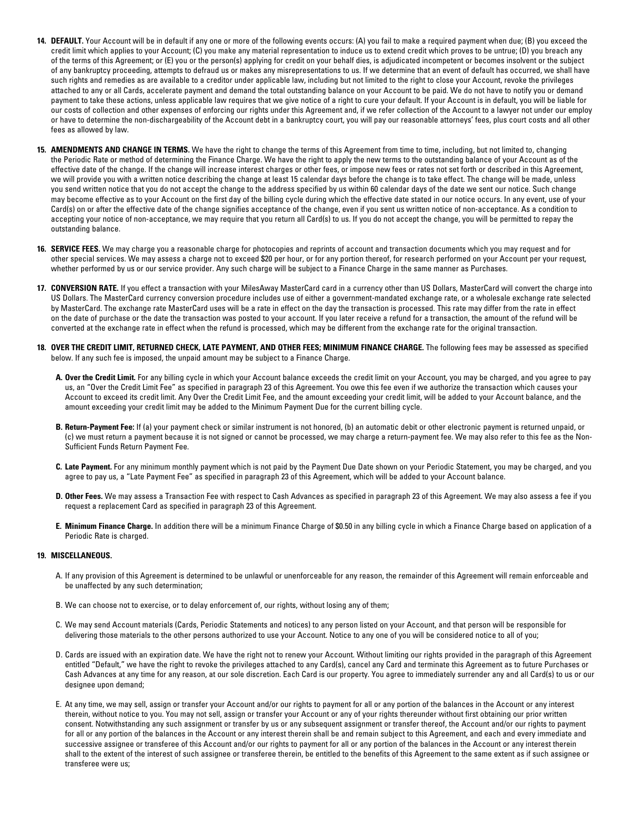- **14. DEFAULT.** Your Account will be in default if any one or more of the following events occurs: (A) you fail to make a required payment when due; (B) you exceed the credit limit which applies to your Account; (C) you make any material representation to induce us to extend credit which proves to be untrue; (D) you breach any of the terms of this Agreement; or (E) you or the person(s) applying for credit on your behalf dies, is adjudicated incompetent or becomes insolvent or the subject of any bankruptcy proceeding, attempts to defraud us or makes any misrepresentations to us. If we determine that an event of default has occurred, we shall have such rights and remedies as are available to a creditor under applicable law, including but not limited to the right to close your Account, revoke the privileges attached to any or all Cards, accelerate payment and demand the total outstanding balance on your Account to be paid. We do not have to notify you or demand payment to take these actions, unless applicable law requires that we give notice of a right to cure your default. If your Account is in default, you will be liable for our costs of collection and other expenses of enforcing our rights under this Agreement and, if we refer collection of the Account to a lawyer not under our employ or have to determine the non-dischargeability of the Account debt in a bankruptcy court, you will pay our reasonable attorneys' fees, plus court costs and all other fees as allowed by law.
- **15. AMENDMENTS AND CHANGE IN TERMS.** We have the right to change the terms of this Agreement from time to time, including, but not limited to, changing the Periodic Rate or method of determining the Finance Charge. We have the right to apply the new terms to the outstanding balance of your Account as of the effective date of the change. If the change will increase interest charges or other fees, or impose new fees or rates not set forth or described in this Agreement, we will provide you with a written notice describing the change at least 15 calendar days before the change is to take effect. The change will be made, unless you send written notice that you do not accept the change to the address specifed by us within 60 calendar days of the date we sent our notice. Such change may become effective as to your Account on the frst day of the billing cycle during which the effective date stated in our notice occurs. In any event, use of your Card(s) on or after the effective date of the change signifes acceptance of the change, even if you sent us written notice of non-acceptance. As a condition to accepting your notice of non-acceptance, we may require that you return all Card(s) to us. If you do not accept the change, you will be permitted to repay the outstanding balance.
- **16. SERVICE FEES.** We may charge you a reasonable charge for photocopies and reprints of account and transaction documents which you may request and for other special services. We may assess a charge not to exceed \$20 per hour, or for any portion thereof, for research performed on your Account per your request, whether performed by us or our service provider. Any such charge will be subject to a Finance Charge in the same manner as Purchases.
- **17. CONVERSION RATE.** If you effect a transaction with your MilesAway MasterCard card in a currency other than US Dollars, MasterCard will convert the charge into US Dollars. The MasterCard currency conversion procedure includes use of either a government-mandated exchange rate, or a wholesale exchange rate selected by MasterCard. The exchange rate MasterCard uses will be a rate in effect on the day the transaction is processed. This rate may differ from the rate in effect on the date of purchase or the date the transaction was posted to your account. If you later receive a refund for a transaction, the amount of the refund will be converted at the exchange rate in effect when the refund is processed, which may be different from the exchange rate for the original transaction.
- **18. OVER THE CREDIT LIMIT, RETURNED CHECK, LATE PAYMENT, AND OTHER FEES; MINIMUM FINANCE CHARGE.** The following fees may be assessed as specifed below. If any such fee is imposed, the unpaid amount may be subject to a Finance Charge.
	- **A. Over the Credit Limit.** For any billing cycle in which your Account balance exceeds the credit limit on your Account, you may be charged, and you agree to pay us, an "Over the Credit Limit Fee" as specifed in paragraph 23 of this Agreement. You owe this fee even if we authorize the transaction which causes your Account to exceed its credit limit. Any Over the Credit Limit Fee, and the amount exceeding your credit limit, will be added to your Account balance, and the amount exceeding your credit limit may be added to the Minimum Payment Due for the current billing cycle.
	- **B. Return-Payment Fee:** If (a) your payment check or similar instrument is not honored, (b) an automatic debit or other electronic payment is returned unpaid, or (c) we must return a payment because it is not signed or cannot be processed, we may charge a return-payment fee. We may also refer to this fee as the Non-Sufficient Funds Return Payment Fee.
	- **C. Late Payment.** For any minimum monthly payment which is not paid by the Payment Due Date shown on your Periodic Statement, you may be charged, and you agree to pay us, a "Late Payment Fee" as specifed in paragraph 23 of this Agreement, which will be added to your Account balance.
	- **D. Other Fees.** We may assess a Transaction Fee with respect to Cash Advances as specifed in paragraph 23 of this Agreement. We may also assess a fee if you request a replacement Card as specifed in paragraph 23 of this Agreement.
	- **E. Minimum Finance Charge.** In addition there will be a minimum Finance Charge of \$0.50 in any billing cycle in which a Finance Charge based on application of a Periodic Rate is charged.

## **19. MISCELLANEOUS.**

- A. If any provision of this Agreement is determined to be unlawful or unenforceable for any reason, the remainder of this Agreement will remain enforceable and be unaffected by any such determination;
- B. We can choose not to exercise, or to delay enforcement of, our rights, without losing any of them;
- C. We may send Account materials (Cards, Periodic Statements and notices) to any person listed on your Account, and that person will be responsible for delivering those materials to the other persons authorized to use your Account. Notice to any one of you will be considered notice to all of you;
- D. Cards are issued with an expiration date. We have the right not to renew your Account. Without limiting our rights provided in the paragraph of this Agreement entitled "Default," we have the right to revoke the privileges attached to any Card(s), cancel any Card and terminate this Agreement as to future Purchases or Cash Advances at any time for any reason, at our sole discretion. Each Card is our property. You agree to immediately surrender any and all Card(s) to us or our designee upon demand;
- E. At any time, we may sell, assign or transfer your Account and/or our rights to payment for all or any portion of the balances in the Account or any interest therein, without notice to you. You may not sell, assign or transfer your Account or any of your rights thereunder without frst obtaining our prior written consent. Notwithstanding any such assignment or transfer by us or any subsequent assignment or transfer thereof, the Account and/or our rights to payment for all or any portion of the balances in the Account or any interest therein shall be and remain subject to this Agreement, and each and every immediate and successive assignee or transferee of this Account and/or our rights to payment for all or any portion of the balances in the Account or any interest therein shall to the extent of the interest of such assignee or transferee therein, be entitled to the benefts of this Agreement to the same extent as if such assignee or transferee were us;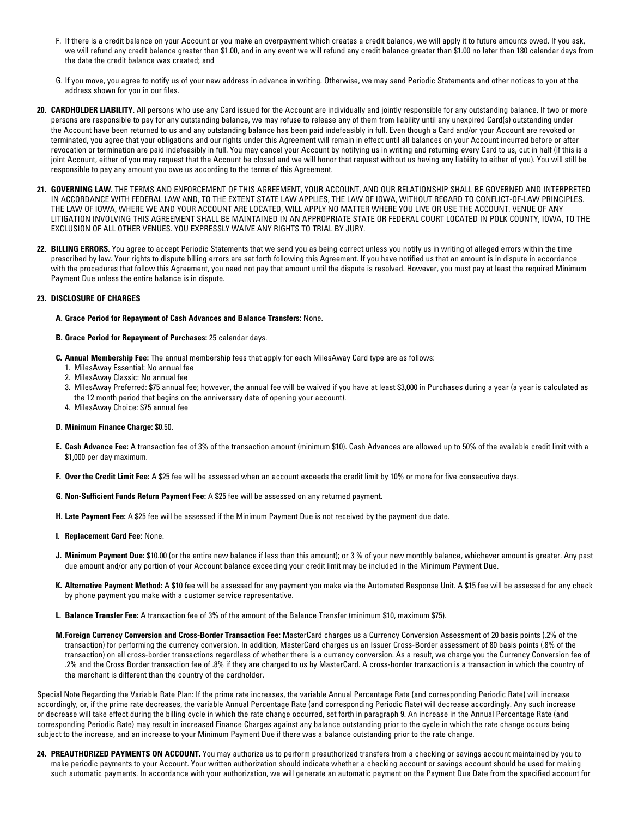- F. If there is a credit balance on your Account or you make an overpayment which creates a credit balance, we will apply it to future amounts owed. If you ask, we will refund any credit balance greater than \$1.00, and in any event we will refund any credit balance greater than \$1.00 no later than 180 calendar days from the date the credit balance was created; and
- G. If you move, you agree to notify us of your new address in advance in writing. Otherwise, we may send Periodic Statements and other notices to you at the address shown for you in our files.
- 20. CARDHOLDER LIABILITY. All persons who use any Card issued for the Account are individually and jointly responsible for any outstanding balance. If two or more persons are responsible to pay for any outstanding balance, we may refuse to release any of them from liability until any unexpired Card(s) outstanding under the Account have been returned to us and any outstanding balance has been paid indefeasibly in full. Even though a Card and/or your Account are revoked or terminated, you agree that your obligations and our rights under this Agreement will remain in effect until all balances on your Account incurred before or after revocation or termination are paid indefeasibly in full. You may cancel your Account by notifying us in writing and returning every Card to us, cut in half (if this is a joint Account, either of you may request that the Account be closed and we will honor that request without us having any liability to either of you). You will still be responsible to pay any amount you owe us according to the terms of this Agreement.
- **21. GOVERNING LAW.** THE TERMS AND ENFORCEMENT OF THIS AGREEMENT, YOUR ACCOUNT, AND OUR RELATIONSHIP SHALL BE GOVERNED AND INTERPRETED IN ACCORDANCE WITH FEDERAL LAW AND, TO THE EXTENT STATE LAW APPLIES, THE LAW OF IOWA, WITHOUT REGARD TO CONFLICT-OF-LAW PRINCIPLES. THE LAW OF IOWA, WHERE WE AND YOUR ACCOUNT ARE LOCATED, WILL APPLY NO MATTER WHERE YOU LIVE OR USE THE ACCOUNT. VENUE OF ANY LITIGATION INVOLVING THIS AGREEMENT SHALL BE MAINTAINED IN AN APPROPRIATE STATE OR FEDERAL COURT LOCATED IN POLK COUNTY, IOWA, TO THE EXCLUSION OF ALL OTHER VENUES. YOU EXPRESSLY WAIVE ANY RIGHTS TO TRIAL BY JURY.
- **22. BILLING ERRORS.** You agree to accept Periodic Statements that we send you as being correct unless you notify us in writing of alleged errors within the time prescribed by law. Your rights to dispute billing errors are set forth following this Agreement. If you have notifed us that an amount is in dispute in accordance with the procedures that follow this Agreement, you need not pay that amount until the dispute is resolved. However, you must pay at least the required Minimum Payment Due unless the entire balance is in dispute.

# **23. DISCLOSURE OF CHARGES**

## **A. Grace Period for Repayment of Cash Advances and Balance Transfers:** None.

#### **B. Grace Period for Repayment of Purchases:** 25 calendar days.

- **C. Annual Membership Fee:** The annual membership fees that apply for each MilesAway Card type are as follows:
	- 1. MilesAway Essential: No annual fee
	- 2. MilesAway Classic: No annual fee
	- 3. MilesAway Preferred: \$75 annual fee; however, the annual fee will be waived if you have at least \$3,000 in Purchases during a year (a year is calculated as the 12 month period that begins on the anniversary date of opening your account).
	- 4. MilesAway Choice: \$75 annual fee

#### **D. Minimum Finance Charge:** \$0.50.

- **E. Cash Advance Fee:** A transaction fee of 3% of the transaction amount (minimum \$10). Cash Advances are allowed up to 50% of the available credit limit with a \$1,000 per day maximum.
- **F. Over the Credit Limit Fee:** A \$25 fee will be assessed when an account exceeds the credit limit by 10% or more for fve consecutive days.
- **G. Non-Suffcient Funds Return Payment Fee:** A \$25 fee will be assessed on any returned payment.
- **H. Late Payment Fee:** A \$25 fee will be assessed if the Minimum Payment Due is not received by the payment due date.
- **I. Replacement Card Fee:** None.
- **J. Minimum Payment Due:** \$10.00 (or the entire new balance if less than this amount); or 3 % of your new monthly balance, whichever amount is greater. Any past due amount and/or any portion of your Account balance exceeding your credit limit may be included in the Minimum Payment Due.
- **K. Alternative Payment Method:** A \$10 fee will be assessed for any payment you make via the Automated Response Unit. A \$15 fee will be assessed for any check by phone payment you make with a customer service representative.
- **L. Balance Transfer Fee:** A transaction fee of 3% of the amount of the Balance Transfer (minimum \$10, maximum \$75).
- **M.Foreign Currency Conversion and Cross-Border Transaction Fee:** MasterCard charges us a Currency Conversion Assessment of 20 basis points (.2% of the transaction) for performing the currency conversion. In addition, MasterCard charges us an Issuer Cross-Border assessment of 80 basis points (.8% of the transaction) on all cross-border transactions regardless of whether there is a currency conversion. As a result, we charge you the Currency Conversion fee of .2% and the Cross Border transaction fee of .8% if they are charged to us by MasterCard. A cross-border transaction is a transaction in which the country of the merchant is different than the country of the cardholder.

Special Note Regarding the Variable Rate Plan: If the prime rate increases, the variable Annual Percentage Rate (and corresponding Periodic Rate) will increase accordingly, or, if the prime rate decreases, the variable Annual Percentage Rate (and corresponding Periodic Rate) will decrease accordingly. Any such increase or decrease will take effect during the billing cycle in which the rate change occurred, set forth in paragraph 9. An increase in the Annual Percentage Rate (and corresponding Periodic Rate) may result in increased Finance Charges against any balance outstanding prior to the cycle in which the rate change occurs being subject to the increase, and an increase to your Minimum Payment Due if there was a balance outstanding prior to the rate change.

24. PREAUTHORIZED PAYMENTS ON ACCOUNT. You may authorize us to perform preauthorized transfers from a checking or savings account maintained by you to make periodic payments to your Account. Your written authorization should indicate whether a checking account or savings account should be used for making such automatic payments. In accordance with your authorization, we will generate an automatic payment on the Payment Due Date from the specifed account for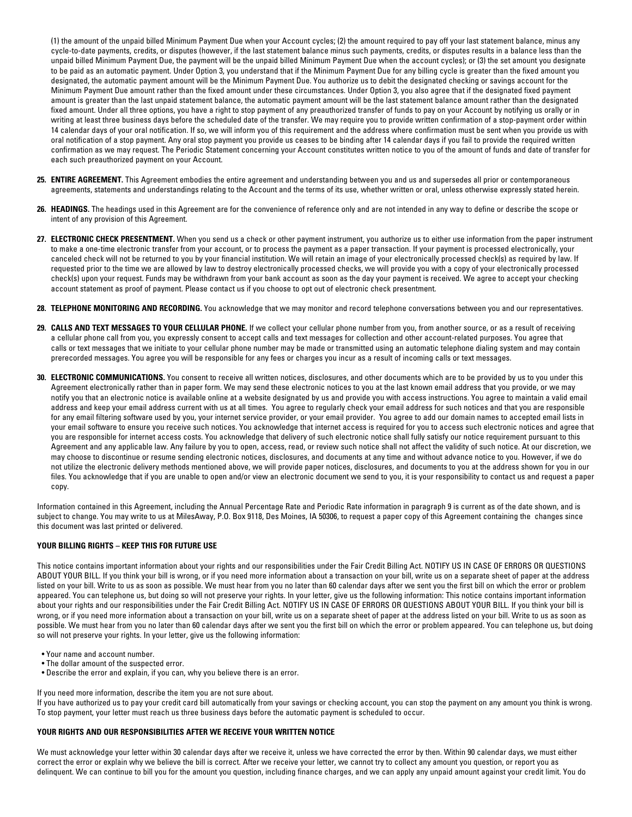(1) the amount of the unpaid billed Minimum Payment Due when your Account cycles; (2) the amount required to pay off your last statement balance, minus any cycle-to-date payments, credits, or disputes (however, if the last statement balance minus such payments, credits, or disputes results in a balance less than the unpaid billed Minimum Payment Due, the payment will be the unpaid billed Minimum Payment Due when the account cycles); or (3) the set amount you designate to be paid as an automatic payment. Under Option 3, you understand that if the Minimum Payment Due for any billing cycle is greater than the fxed amount you designated, the automatic payment amount will be the Minimum Payment Due. You authorize us to debit the designated checking or savings account for the Minimum Payment Due amount rather than the fxed amount under these circumstances. Under Option 3, you also agree that if the designated fxed payment amount is greater than the last unpaid statement balance, the automatic payment amount will be the last statement balance amount rather than the designated fixed amount. Under all three options, you have a right to stop payment of any preauthorized transfer of funds to pay on your Account by notifying us orally or in writing at least three business days before the scheduled date of the transfer. We may require you to provide written confrmation of a stop-payment order within 14 calendar days of your oral notifcation. If so, we will inform you of this requirement and the address where confrmation must be sent when you provide us with oral notifcation of a stop payment. Any oral stop payment you provide us ceases to be binding after 14 calendar days if you fail to provide the required written confrmation as we may request. The Periodic Statement concerning your Account constitutes written notice to you of the amount of funds and date of transfer for each such preauthorized payment on your Account.

- **25. ENTIRE AGREEMENT.** This Agreement embodies the entire agreement and understanding between you and us and supersedes all prior or contemporaneous agreements, statements and understandings relating to the Account and the terms of its use, whether written or oral, unless otherwise expressly stated herein.
- **26. HEADINGS.** The headings used in this Agreement are for the convenience of reference only and are not intended in any way to defne or describe the scope or intent of any provision of this Agreement.
- **27. ELECTRONIC CHECK PRESENTMENT.** When you send us a check or other payment instrument, you authorize us to either use information from the paper instrument to make a one-time electronic transfer from your account, or to process the payment as a paper transaction. If your payment is processed electronically, your canceled check will not be returned to you by your fnancial institution. We will retain an image of your electronically processed check(s) as required by law. If requested prior to the time we are allowed by law to destroy electronically processed checks, we will provide you with a copy of your electronically processed check(s) upon your request. Funds may be withdrawn from your bank account as soon as the day your payment is received. We agree to accept your checking account statement as proof of payment. Please contact us if you choose to opt out of electronic check presentment.
- **28. TELEPHONE MONITORING AND RECORDING.** You acknowledge that we may monitor and record telephone conversations between you and our representatives.
- **29. CALLS AND TEXT MESSAGES TO YOUR CELLULAR PHONE.** If we collect your cellular phone number from you, from another source, or as a result of receiving a cellular phone call from you, you expressly consent to accept calls and text messages for collection and other account-related purposes. You agree that calls or text messages that we initiate to your cellular phone number may be made or transmitted using an automatic telephone dialing system and may contain prerecorded messages. You agree you will be responsible for any fees or charges you incur as a result of incoming calls or text messages.
- **30. ELECTRONIC COMMUNICATIONS.** You consent to receive all written notices, disclosures, and other documents which are to be provided by us to you under this Agreement electronically rather than in paper form. We may send these electronic notices to you at the last known email address that you provide, or we may notify you that an electronic notice is available online at a website designated by us and provide you with access instructions. You agree to maintain a valid email address and keep your email address current with us at all times. You agree to regularly check your email address for such notices and that you are responsible for any email filtering software used by you, your internet service provider, or your email provider. You agree to add our domain names to accepted email lists in your email software to ensure you receive such notices. You acknowledge that internet access is required for you to access such electronic notices and agree that you are responsible for internet access costs. You acknowledge that delivery of such electronic notice shall fully satisfy our notice requirement pursuant to this Agreement and any applicable law. Any failure by you to open, access, read, or review such notice shall not affect the validity of such notice. At our discretion, we may choose to discontinue or resume sending electronic notices, disclosures, and documents at any time and without advance notice to you. However, if we do not utilize the electronic delivery methods mentioned above, we will provide paper notices, disclosures, and documents to you at the address shown for you in our fles. You acknowledge that if you are unable to open and/or view an electronic document we send to you, it is your responsibility to contact us and request a paper copy.

Information contained in this Agreement, including the Annual Percentage Rate and Periodic Rate information in paragraph 9 is current as of the date shown, and is subject to change. You may write to us at MilesAway, P.O. Box 9118, Des Moines, IA 50306, to request a paper copy of this Agreement containing the changes since this document was last printed or delivered.

# **YOUR BILLING RIGHTS – KEEP THIS FOR FUTURE USE**

This notice contains important information about your rights and our responsibilities under the Fair Credit Billing Act. NOTIFY US IN CASE OF ERRORS OR QUESTIONS ABOUT YOUR BILL. If you think your bill is wrong, or if you need more information about a transaction on your bill, write us on a separate sheet of paper at the address listed on your bill. Write to us as soon as possible. We must hear from you no later than 60 calendar days after we sent you the frst bill on which the error or problem appeared. You can telephone us, but doing so will not preserve your rights. In your letter, give us the following information: This notice contains important information about your rights and our responsibilities under the Fair Credit Billing Act. NOTIFY US IN CASE OF ERRORS OR QUESTIONS ABOUT YOUR BILL. If you think your bill is wrong, or if you need more information about a transaction on your bill, write us on a separate sheet of paper at the address listed on your bill. Write to us as soon as possible. We must hear from you no later than 60 calendar days after we sent you the frst bill on which the error or problem appeared. You can telephone us, but doing so will not preserve your rights. In your letter, give us the following information:

- Your name and account number.
- The dollar amount of the suspected error.
- Describe the error and explain, if you can, why you believe there is an error.

If you need more information, describe the item you are not sure about.

If you have authorized us to pay your credit card bill automatically from your savings or checking account, you can stop the payment on any amount you think is wrong. To stop payment, your letter must reach us three business days before the automatic payment is scheduled to occur.

## **YOUR RIGHTS AND OUR RESPONSIBILITIES AFTER WE RECEIVE YOUR WRITTEN NOTICE**

We must acknowledge your letter within 30 calendar days after we receive it, unless we have corrected the error by then. Within 90 calendar days, we must either correct the error or explain why we believe the bill is correct. After we receive your letter, we cannot try to collect any amount you question, or report you as delinquent. We can continue to bill you for the amount you question, including finance charges, and we can apply any unpaid amount against your credit limit. You do